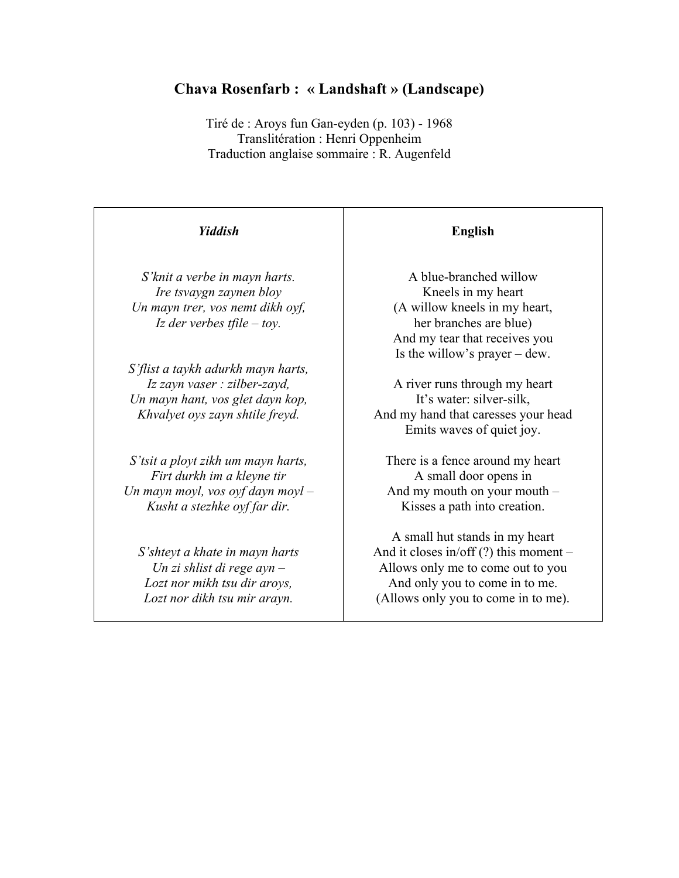## **Chava Rosenfarb : « Landshaft » (Landscape)**

Tiré de : Aroys fun Gan-eyden (p. 103) - 1968 Translitération : Henri Oppenheim Traduction anglaise sommaire : R. Augenfeld

## *Yiddish S'knit a verbe in mayn harts. Ire tsvaygn zaynen bloy Un mayn trer, vos nemt dikh oyf, Iz der verbes tfile – toy. S'flist a taykh adurkh mayn harts, Iz zayn vaser : zilber-zayd, Un mayn hant, vos glet dayn kop, Khvalyet oys zayn shtile freyd. S'tsit a ployt zikh um mayn harts, Firt durkh im a kleyne tir Un mayn moyl, vos oyf dayn moyl – Kusht a stezhke oyf far dir. S'shteyt a khate in mayn harts Un zi shlist di rege ayn – Lozt nor mikh tsu dir aroys, Lozt nor dikh tsu mir arayn.*

## **English**

A blue-branched willow Kneels in my heart (A willow kneels in my heart, her branches are blue) And my tear that receives you Is the willow's prayer – dew.

A river runs through my heart It's water: silver-silk, And my hand that caresses your head Emits waves of quiet joy.

There is a fence around my heart A small door opens in And my mouth on your mouth – Kisses a path into creation.

A small hut stands in my heart And it closes in/off  $(?)$  this moment – Allows only me to come out to you And only you to come in to me. (Allows only you to come in to me).